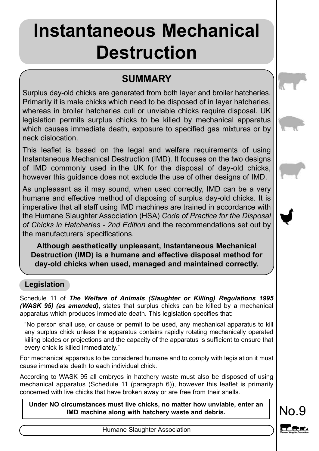# **Instantaneous Mechanical Destruction**

# **SUMMARY**

Surplus day-old chicks are generated from both layer and broiler hatcheries. Primarily it is male chicks which need to be disposed of in layer hatcheries, whereas in broiler hatcheries cull or unviable chicks require disposal. UK legislation permits surplus chicks to be killed by mechanical apparatus which causes immediate death, exposure to specified gas mixtures or by neck dislocation.

This leaflet is based on the legal and welfare requirements of using Instantaneous Mechanical Destruction (IMD). It focuses on the two designs of IMD commonly used in the UK for the disposal of day-old chicks, however this guidance does not exclude the use of other designs of IMD.

As unpleasant as it may sound, when used correctly, IMD can be a very humane and effective method of disposing of surplus day-old chicks. It is imperative that all staff using IMD machines are trained in accordance with the Humane Slaughter Association (HSA) *Code of Practice for the Disposal of Chicks in Hatcheries - 2nd Edition* and the recommendations set out by the manufacturers' specifications.

**Although aesthetically unpleasant, Instantaneous Mechanical Destruction (IMD) is a humane and effective disposal method for day-old chicks when used, managed and maintained correctly.**

# **Legislation**

Schedule 11 of *The Welfare of Animals (Slaughter or Killing) Regulations 1995 (WASK 95) (as amended)*, states that surplus chicks can be killed by a mechanical apparatus which produces immediate death. This legislation specifies that:

"No person shall use, or cause or permit to be used, any mechanical apparatus to kill any surplus chick unless the apparatus contains rapidly rotating mechanically operated killing blades or projections and the capacity of the apparatus is sufficient to ensure that every chick is killed immediately."

For mechanical apparatus to be considered humane and to comply with legislation it must cause immediate death to each individual chick.

According to WASK 95 all embryos in hatchery waste must also be disposed of using mechanical apparatus (Schedule 11 (paragraph 6)), however this leaflet is primarily concerned with live chicks that have broken away or are free from their shells.

Under NO circumstances must live chicks, no matter how unviable, enter an **NO**. **IMD machine along with hatchery waste and debris.**



Humane Slaughter Association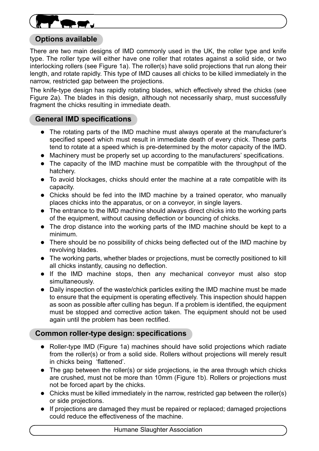

### **Options available**

There are two main designs of IMD commonly used in the UK, the roller type and knife type. The roller type will either have one roller that rotates against a solid side, or two interlocking rollers (see Figure 1a). The roller(s) have solid projections that run along their length, and rotate rapidly. This type of IMD causes all chicks to be killed immediately in the narrow, restricted gap between the projections.

The knife-type design has rapidly rotating blades, which effectively shred the chicks (see Figure 2a). The blades in this design, although not necessarily sharp, must successfully fragment the chicks resulting in immediate death.

### **General IMD specifications**

- The rotating parts of the IMD machine must always operate at the manufacturer's specified speed which must result in immediate death of every chick. These parts tend to rotate at a speed which is pre-determined by the motor capacity of the IMD.
- Machinery must be properly set up according to the manufacturers' specifications.
- The capacity of the IMD machine must be compatible with the throughput of the hatchery.
- $\bullet$  To avoid blockages, chicks should enter the machine at a rate compatible with its capacity.
- Chicks should be fed into the IMD machine by a trained operator, who manually places chicks into the apparatus, or on a conveyor, in single layers.
- The entrance to the IMD machine should always direct chicks into the working parts of the equipment, without causing deflection or bouncing of chicks.
- The drop distance into the working parts of the IMD machine should be kept to a minimum.
- There should be no possibility of chicks being deflected out of the IMD machine by revolving blades.
- The working parts, whether blades or projections, must be correctly positioned to kill all chicks instantly, causing no deflection.
- If the IMD machine stops, then any mechanical conveyor must also stop simultaneously.
- Daily inspection of the waste/chick particles exiting the IMD machine must be made to ensure that the equipment is operating effectively. This inspection should happen as soon as possible after culling has begun. If a problem is identified, the equipment must be stopped and corrective action taken. The equipment should not be used again until the problem has been rectified.

# **Common roller-type design: specifications**

- Roller-type IMD (Figure 1a) machines should have solid projections which radiate from the roller(s) or from a solid side. Rollers without projections will merely result in chicks being 'flattened'.
- $\bullet$  The gap between the roller(s) or side projections, ie the area through which chicks are crushed, must not be more than 10mm (Figure 1b). Rollers or projections must not be forced apart by the chicks.
- Chicks must be killed immediately in the narrow, restricted gap between the roller(s) or side projections.
- If projections are damaged they must be repaired or replaced; damaged projections could reduce the effectiveness of the machine.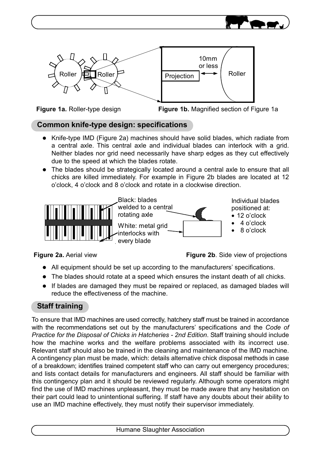





**Figure 1a.** Roller-type design **Figure 1b.** Magnified section of Figure 1a

# **Common knife-type design: specifications**

- Knife-type IMD (Figure 2a) machines should have solid blades, which radiate from a central axle. This central axle and individual blades can interlock with a grid. Neither blades nor grid need necessarily have sharp edges as they cut effectively due to the speed at which the blades rotate.
- The blades should be strategically located around a central axle to ensure that all chicks are killed immediately. For example in Figure 2b blades are located at 12 o'clock, 4 o'clock and 8 o'clock and rotate in a clockwise direction.



**Figure 2a.** Aerial view **Figure 2b.** Side view of projections

- All equipment should be set up according to the manufacturers' specifications.
- $\bullet$  The blades should rotate at a speed which ensures the instant death of all chicks.
- If blades are damaged they must be repaired or replaced, as damaged blades will reduce the effectiveness of the machine.

# **Staff training**

To ensure that IMD machines are used correctly, hatchery staff must be trained in accordance with the recommendations set out by the manufacturers' specifications and the *Code of Practice for the Disposal of Chicks in Hatcheries - 2nd Edition*. Staff training should include how the machine works and the welfare problems associated with its incorrect use. Relevant staff should also be trained in the cleaning and maintenance of the IMD machine. A contingency plan must be made, which: details alternative chick disposal methods in case of a breakdown; identifies trained competent staff who can carry out emergency procedures; and lists contact details for manufacturers and engineers. All staff should be familiar with this contingency plan and it should be reviewed regularly. Although some operators might find the use of IMD machines unpleasant, they must be made aware that any hesitation on their part could lead to unintentional suffering. If staff have any doubts about their ability to use an IMD machine effectively, they must notify their supervisor immediately.